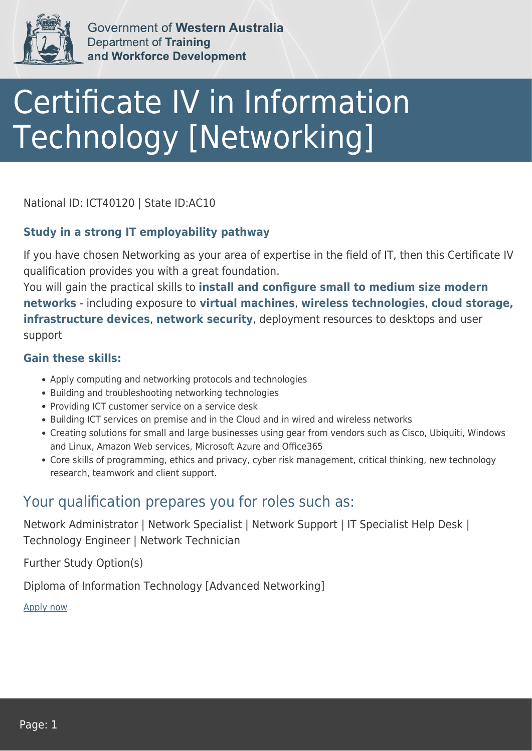

Government of Western Australia **Department of Training** and Workforce Development

# Certificate IV in Information Technology [Networking]

National ID: ICT40120 | State ID:AC10

#### **Study in a strong IT employability pathway**

If you have chosen Networking as your area of expertise in the field of IT, then this Certificate IV qualification provides you with a great foundation.

You will gain the practical skills to **install and configure small to medium size modern networks** - including exposure to **virtual machines**, **wireless technologies**, **cloud storage, infrastructure devices**, **network security**, deployment resources to desktops and user support

#### **Gain these skills:**

- Apply computing and networking protocols and technologies
- Building and troubleshooting networking technologies
- Providing ICT customer service on a service desk
- Building ICT services on premise and in the Cloud and in wired and wireless networks
- Creating solutions for small and large businesses using gear from vendors such as Cisco, Ubiquiti, Windows and Linux, Amazon Web services, Microsoft Azure and Office365
- Core skills of programming, ethics and privacy, cyber risk management, critical thinking, new technology research, teamwork and client support.

### Your qualification prepares you for roles such as:

Network Administrator | Network Specialist | Network Support | IT Specialist Help Desk | Technology Engineer | Network Technician

Further Study Option(s)

Diploma of Information Technology [Advanced Networking]

[Apply now](https://tasonline.tafe.wa.edu.au/Default.aspx)